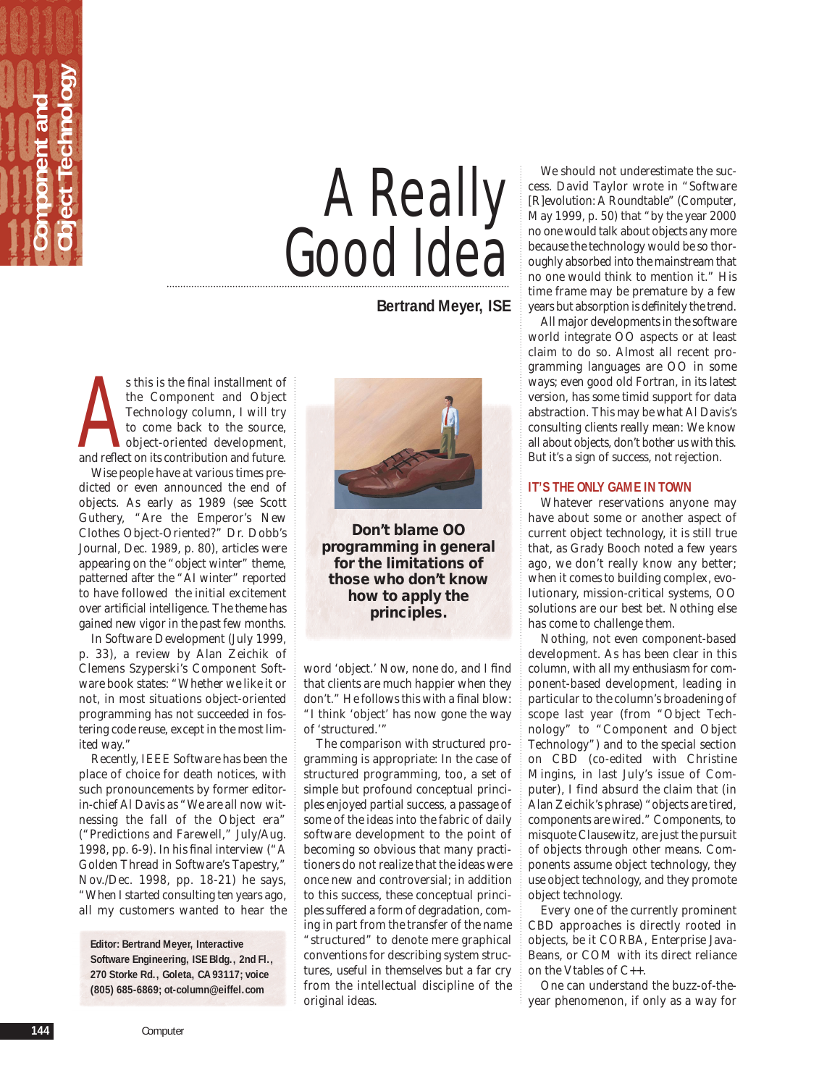# A Really Good Idea

**Bertrand Meyer, ISE**

s this is the final installment of<br>the Component and Object<br>Technology column, I will try<br>to come back to the source,<br>object-oriented development,<br>and reflect on its contribution and future. s this is the final installment of the Component and Object Technology column, I will try to come back to the source, object-oriented development,

Wise people have at various times predicted or even announced the end of objects. As early as 1989 (see Scott Guthery, "Are the Emperor's New Clothes Object-Oriented?" *Dr. Dobb's Journal*, Dec. 1989, p. 80), articles were appearing on the "object winter" theme, patterned after the "AI winter" reported to have followed the initial excitement over artificial intelligence. The theme has gained new vigor in the past few months. **144** Comparing the following the Comparison of the Comparison of Technology to come by biget-to-this comparison wise people have identical interesting the comparison of comparison of contrast Dependent Control of the Cont

In *Software Development* (July 1999, p. 33), a review by Alan Zeichik of Clemens Szyperski's *Component Software* book states: "Whether we like it or not, in most situations object-oriented programming has not succeeded in fostering code reuse, except in the most limited way."

Recently, *IEEE Software* has been the place of choice for death notices, with such pronouncements by former editorin-chief Al Davis as "We are all now witnessing the fall of the Object era" ("Predictions and Farewell," July/Aug. 1998, pp. 6-9). In his final interview ("A Golden Thread in Software's Tapestry," Nov./Dec. 1998, pp. 18-21) he says, "When I started consulting ten years ago, all my customers wanted to hear the

**Editor: Bertrand Meyer, Interactive Software Engineering, ISE Bldg., 2nd Fl., 270 Storke Rd., Goleta, CA 93117; voice (805) 685-6869; ot-column@eiffel.com**



**Don't blame OO programming in general for the limitations of those who don't know how to apply the principles.** 

word 'object.' Now, none do, and I find that clients are much happier when they don't." He follows this with a final blow: "I think 'object' has now gone the way of 'structured.'"

The comparison with structured programming is appropriate: In the case of structured programming, too, a set of simple but profound conceptual principles enjoyed partial success, a passage of some of the ideas into the fabric of daily software development to the point of becoming so obvious that many practitioners do not realize that the ideas were once new and controversial; in addition to this success, these conceptual principles suffered a form of degradation, coming in part from the transfer of the name "structured" to denote mere graphical conventions for describing system structures, useful in themselves but a far cry from the intellectual discipline of the original ideas.

We should not underestimate the success. David Taylor wrote in "Software [R]evolution: A Roundtable" (*Computer*, May 1999, p. 50) that "by the year 2000 no one would talk about objects any more because the technology would be so thoroughly absorbed into the mainstream that no one would think to mention it." His time frame may be premature by a few years but absorption is definitely the trend.

All major developments in the software world integrate OO aspects or at least claim to do so. Almost all recent programming languages are OO in some ways; even good old Fortran, in its latest version, has some timid support for data abstraction. This may be what Al Davis's consulting clients really mean: We know all about objects, don't bother us with this. But it's a sign of success, not rejection.

#### **IT'S THE ONLY GAME IN TOWN**

Whatever reservations anyone may have about some or another aspect of current object technology, it is still true that, as Grady Booch noted a few years ago, we don't really know any better; when it comes to building complex, evolutionary, mission-critical systems, OO solutions are our best bet. Nothing else has come to challenge them.

Nothing, not even component-based development. As has been clear in this column, with all my enthusiasm for component-based development, leading in particular to the column's broadening of scope last year (from "Object Technology" to "Component and Object Technology") and to the special section on CBD (co-edited with Christine Mingins, in last July's issue of *Computer*), I find absurd the claim that (in Alan Zeichik's phrase) "objects are tired, components are wired." Components, to misquote Clausewitz, are just the pursuit of objects through other means. Components assume object technology, they use object technology, and they promote object technology.

Every one of the currently prominent CBD approaches is directly rooted in objects, be it CORBA, Enterprise Java-Beans, or COM with its direct reliance on the Vtables of C++.

One can understand the buzz-of-theyear phenomenon, if only as a way for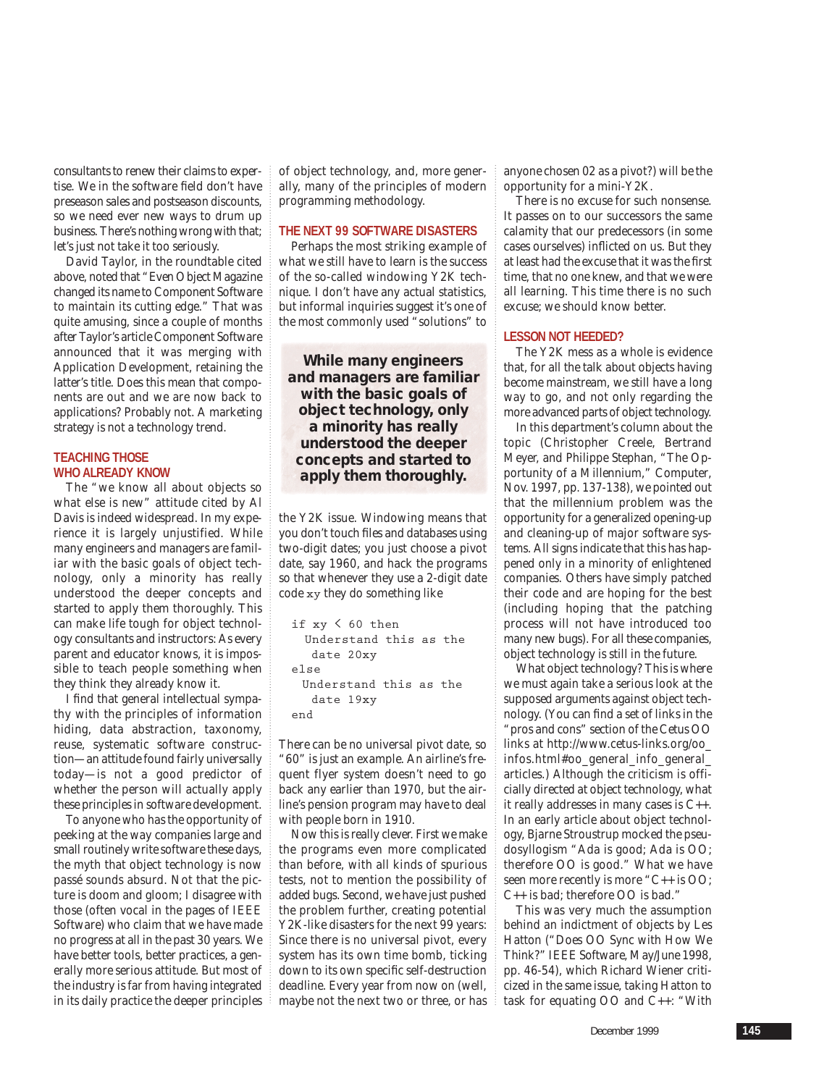consultants to renew their claims to expertise. We in the software field don't have preseason sales and postseason discounts, so we need ever new ways to drum up business. There's nothing wrong with that; let's just not take it too seriously.

David Taylor, in the roundtable cited above, noted that "Even *Object Magazine* changed its name to *Component Software* to maintain its cutting edge." That was quite amusing, since a couple of months after Taylor's article *Component Software* announced that it was merging with *Application Development*, retaining the latter's title. Does this mean that components are out and we are now back to applications? Probably not. A marketing strategy is not a technology trend.

#### **TEACHING THOSE WHO ALREADY KNOW**

The "we know all about objects so what else is new" attitude cited by Al Davis is indeed widespread. In my experience it is largely unjustified. While many engineers and managers are familiar with the basic goals of object technology, only a minority has really understood the deeper concepts and started to apply them thoroughly. This can make life tough for object technology consultants and instructors: As every parent and educator knows, it is impossible to teach people something when they think they already know it.

I find that general intellectual sympathy with the principles of information hiding, data abstraction, taxonomy, reuse, systematic software construction—an attitude found fairly universally today—is not a good predictor of whether the person will actually apply these principles in software development.

To anyone who has the opportunity of peeking at the way companies large and small routinely write software these days, the myth that object technology is now passé sounds absurd. Not that the picture is doom and gloom; I disagree with those (often vocal in the pages of *IEEE Software*) who claim that we have made no progress at all in the past 30 years. We have better tools, better practices, a generally more serious attitude. But most of the industry is far from having integrated in its daily practice the deeper principles of object technology, and, more generally, many of the principles of modern programming methodology.

#### **THE NEXT 99 SOFTWARE DISASTERS**

Perhaps the most striking example of what we still have to learn is the success of the so-called windowing Y2K technique. I don't have any actual statistics, but informal inquiries suggest it's one of the most commonly used "solutions" to

# **While many engineers and managers are familiar with the basic goals of object technology, only a minority has really understood the deeper concepts and started to apply them thoroughly.**

the Y2K issue. Windowing means that you don't touch files and databases using two-digit dates; you just choose a pivot date, say 1960, and hack the programs so that whenever they use a 2-digit date code **xy** they do something like

```
if xy < 60 then
 Understand this as the 
  date 20xy
else
 Understand this as the 
  date 19xy
end
```
There can be no universal pivot date, so "60" is just an example. An airline's frequent flyer system doesn't need to go back any earlier than 1970, but the airline's pension program may have to deal with people born in 1910.

Now this is really clever. First we make the programs even more complicated than before, with all kinds of spurious tests, not to mention the possibility of added bugs. Second, we have just pushed the problem further, creating potential Y2K-like disasters for the next 99 years: Since there is no universal pivot, every system has its own time bomb, ticking down to its own specific self-destruction deadline. Every year from now on (well, maybe not the next two or three, or has anyone chosen 02 as a pivot?) will be the opportunity for a mini-Y2K.

There is no excuse for such nonsense. It passes on to our successors the same calamity that our predecessors (in some cases ourselves) inflicted on us. But they at least had the excuse that it was the first time, that no one knew, and that we were all learning. This time there is no such excuse; we should know better.

#### **LESSON NOT HEEDED?**

The Y2K mess as a whole is evidence that, for all the talk about objects having become mainstream, we still have a long way to go, and not only regarding the more advanced parts of object technology.

In this department's column about the topic (Christopher Creele, Bertrand Meyer, and Philippe Stephan, "The Opportunity of a Millennium," *Computer*, Nov. 1997, pp. 137-138), we pointed out that the millennium problem was the opportunity for a generalized opening-up and cleaning-up of major software systems. All signs indicate that this has happened only in a minority of enlightened companies. Others have simply patched their code and are hoping for the best (including hoping that the patching process will not have introduced too many new bugs). For all these companies, object technology is still in the future.

What object technology? This is where we must again take a serious look at the supposed arguments against object technology. (You can find a set of links in the "pros and cons" section of the Cetus OO links at http://www.cetus-links.org/oo\_ infos.html#oo\_general\_info\_general\_ articles.) Although the criticism is officially directed at object technology, what it really addresses in many cases is C++. In an early article about object technology, Bjarne Stroustrup mocked the pseudosyllogism "Ada is good; Ada is OO; therefore OO is good." What we have seen more recently is more "C++ is OO; C++ is bad; therefore OO is bad."

This was very much the assumption behind an indictment of objects by Les Hatton ("Does OO Sync with How We Think?" *IEEE Software*, May/June 1998, pp. 46-54), which Richard Wiener criticized in the same issue, taking Hatton to task for equating OO and C++: "With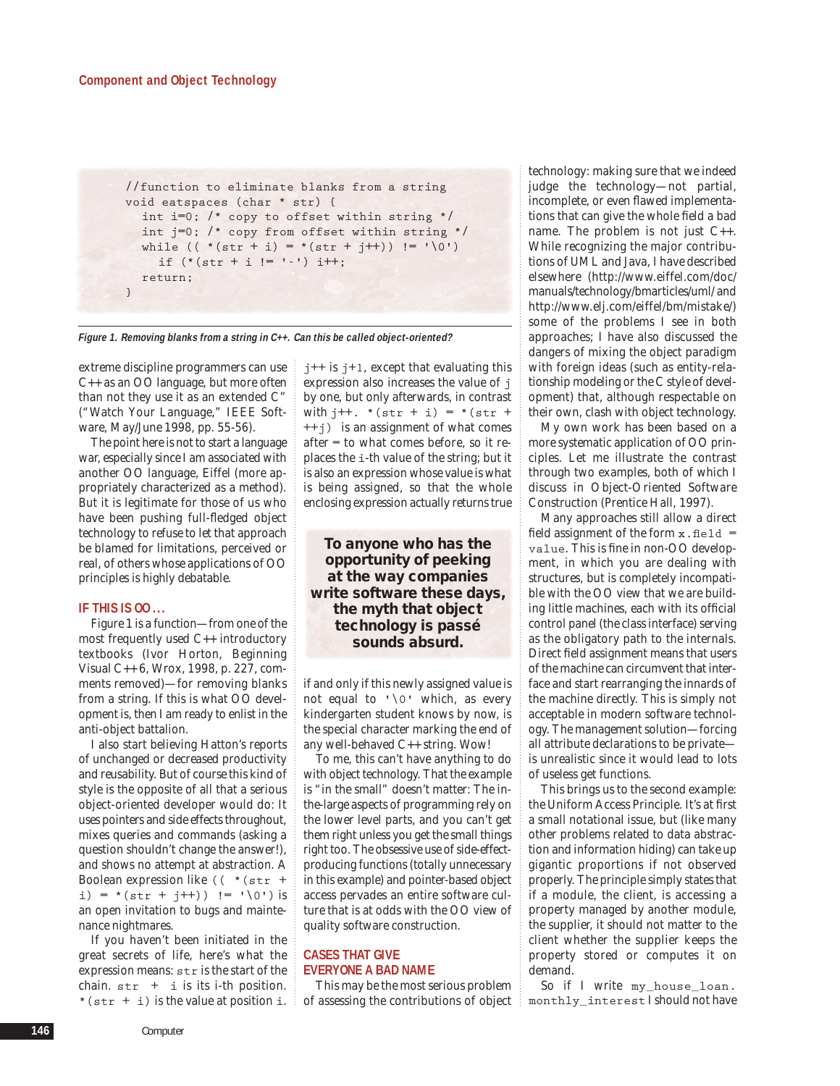```
//function to eliminate blanks from a string
void eatspaces (char * str) {
  int i=0; /* copy to offset within string */
  int j=0; /* copy from offset within string */
  while (( * (str + i) = * (str + j++) ) != ' \0')if (*(str + i != '-') i++;
  return;
}
```
**Figure 1. Removing blanks from a string in C++. Can this be called object-oriented?** 

extreme discipline programmers can use C++ as an OO language, but more often than not they use it as an extended C" ("Watch Your Language," *IEEE Software*, May/June 1998, pp. 55-56).

The point here is not to start a language war, especially since I am associated with another OO language, Eiffel (more appropriately characterized as a method). But it is legitimate for those of us who have been pushing full-fledged object technology to refuse to let that approach be blamed for limitations, perceived or real, of others whose applications of OO principles is highly debatable.

#### **IF THIS IS OO ...**

Figure 1 is a function—from one of the most frequently used C++ introductory textbooks (Ivor Horton, *Beginning Visual C++ 6*, Wrox, 1998, p. 227, comments removed)—for removing blanks from a string. If this is what OO development is, then I am ready to enlist in the anti-object battalion.

I also start believing Hatton's reports of unchanged or decreased productivity and reusability. But of course this kind of style is the opposite of all that a serious object-oriented developer would do: It uses pointers and side effects throughout, mixes queries and commands (asking a question shouldn't change the answer!), and shows no attempt at abstraction. A Boolean expression like **(( \*(str +**  $i)$  = \*(str + j++)) != '\0') is an open invitation to bugs and maintenance nightmares.

If you haven't been initiated in the great secrets of life, here's what the expression means: **str** is the start of the chain. **str + i** is its *i-th* position. **\*(str + i)** is the value at position **i**.

**j++** is **j+1**, except that evaluating this expression also increases the value of **j** by one, but only afterwards, in contrast with **j++. \*(str + i) = \*(str + ++j)** is an assignment of what comes after **=** to what comes before, so it replaces the **i***-*th value of the string; but it is *also* an expression whose value is what is being assigned, so that the whole enclosing expression actually returns true

## **To anyone who has the opportunity of peeking at the way companies write software these days, the myth that object technology is passé sounds absurd.**

if and only if this newly assigned value is not equal to **'\0'** which, as every kindergarten student knows by now, is the special character marking the end of any well-behaved C++ string. Wow!

To me, this can't have anything to do with object technology. That the example is "in the small" doesn't matter: The inthe-large aspects of programming rely on the lower level parts, and you can't get them right unless you get the small things right too. The obsessive use of side-effectproducing functions (totally unnecessary in this example) and pointer-based object access pervades an entire software culture that is at odds with the OO view of quality software construction.

### **CASES THAT GIVE EVERYONE A BAD NAME**

This may be the most serious problem of assessing the contributions of object

technology: making sure that we indeed judge the technology—not partial, incomplete, or even flawed implementations that can give the whole field a bad name. The problem is not just  $C_{++}$ . While recognizing the major contributions of UML and Java, I have described elsewhere (http://www.eiffel.com/doc/ manuals/technology/bmarticles/uml/ and http://www.elj.com/eiffel/bm/mistake/) some of the problems I see in both approaches; I have also discussed the dangers of mixing the object paradigm with foreign ideas (such as entity-relationship modeling or the C style of development) that, although respectable on their own, clash with object technology.

My own work has been based on a more systematic application of OO principles. Let me illustrate the contrast through two examples, both of which I discuss in *Object-Oriented Software Construction* (Prentice Hall, 1997).

Many approaches still allow a direct field assignment of the form **x.field = value**. This is fine in non-OO development, in which you are dealing with structures, but is completely incompatible with the OO view that we are building little machines, each with its official control panel (the class interface) serving as the obligatory path to the internals. Direct field assignment means that users of the machine can circumvent that interface and start rearranging the innards of the machine directly. This is simply not acceptable in modern software technology. The management solution—forcing all attribute declarations to be private is unrealistic since it would lead to lots of useless get functions.

This brings us to the second example: the Uniform Access Principle. It's at first a small notational issue, but (like many other problems related to data abstraction and information hiding) can take up gigantic proportions if not observed properly. The principle simply states that if a module, the client, is accessing a property managed by another module, the supplier, it should not matter to the client whether the supplier keeps the property stored or computes it on demand.

So if I write **my\_house\_loan. monthly\_interest** I should not have